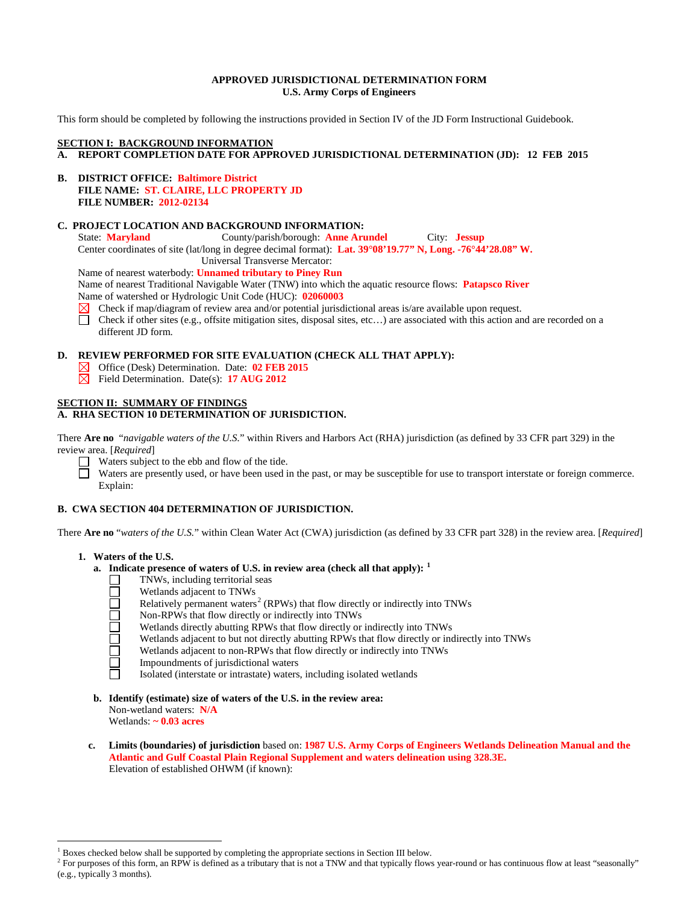## **APPROVED JURISDICTIONAL DETERMINATION FORM U.S. Army Corps of Engineers**

This form should be completed by following the instructions provided in Section IV of the JD Form Instructional Guidebook.

#### **SECTION I: BACKGROUND INFORMATION**

# **A. REPORT COMPLETION DATE FOR APPROVED JURISDICTIONAL DETERMINATION (JD): 12 FEB 2015**

**B. DISTRICT OFFICE: Baltimore District FILE NAME: ST. CLAIRE, LLC PROPERTY JD FILE NUMBER: 2012-02134**

## **C. PROJECT LOCATION AND BACKGROUND INFORMATION:**

State: **Maryland** County/parish/borough: **Anne Arundel** City: **Jessup** Center coordinates of site (lat/long in degree decimal format): **Lat. 39°08'19.77" N, Long. -76°44'28.08" W.** Universal Transverse Mercator:

Name of nearest waterbody: **Unnamed tributary to Piney Run**

Name of nearest Traditional Navigable Water (TNW) into which the aquatic resource flows: **Patapsco River**

Name of watershed or Hydrologic Unit Code (HUC): **02060003**

 $\boxtimes$  Check if map/diagram of review area and/or potential jurisdictional areas is/are available upon request.

 $\overline{\Box}$  Check if other sites (e.g., offsite mitigation sites, disposal sites, etc...) are associated with this action and are recorded on a different JD form.

# **D. REVIEW PERFORMED FOR SITE EVALUATION (CHECK ALL THAT APPLY):**

- Office (Desk) Determination. Date: **02 FEB 2015**
- Field Determination. Date(s): **17 AUG 2012**

# **SECTION II: SUMMARY OF FINDINGS**

# **A. RHA SECTION 10 DETERMINATION OF JURISDICTION.**

There **Are no** "*navigable waters of the U.S.*" within Rivers and Harbors Act (RHA) jurisdiction (as defined by 33 CFR part 329) in the review area. [*Required*]

 $\Box$  Waters subject to the ebb and flow of the tide.

Waters are presently used, or have been used in the past, or may be susceptible for use to transport interstate or foreign commerce. Explain:

# **B. CWA SECTION 404 DETERMINATION OF JURISDICTION.**

There **Are no** "*waters of the U.S.*" within Clean Water Act (CWA) jurisdiction (as defined by 33 CFR part 328) in the review area. [*Required*]

#### **1. Waters of the U.S.**

- **a. Indicate presence of waters of U.S. in review area (check all that apply): [1](#page-0-0)**
	- TNWs, including territorial seas ப
	- Wetlands adjacent to TNWs
	- Relatively permanent waters<sup>[2](#page-0-1)</sup> (RPWs) that flow directly or indirectly into TNWs
	- Non-RPWs that flow directly or indirectly into TNWs
		- Wetlands directly abutting RPWs that flow directly or indirectly into TNWs
	- Wetlands adjacent to but not directly abutting RPWs that flow directly or indirectly into TNWs
	- Wetlands adjacent to non-RPWs that flow directly or indirectly into TNWs
	- Impoundments of jurisdictional waters
	- Isolated (interstate or intrastate) waters, including isolated wetlands
- **b. Identify (estimate) size of waters of the U.S. in the review area:** Non-wetland waters: **N/A** Wetlands: **~ 0.03 acres**
- **c. Limits (boundaries) of jurisdiction** based on: **1987 U.S. Army Corps of Engineers Wetlands Delineation Manual and the Atlantic and Gulf Coastal Plain Regional Supplement and waters delineation using 328.3E.** Elevation of established OHWM (if known):

 $<sup>1</sup>$  Boxes checked below shall be supported by completing the appropriate sections in Section III below.</sup>

<span id="page-0-1"></span><span id="page-0-0"></span><sup>&</sup>lt;sup>2</sup> For purposes of this form, an RPW is defined as a tributary that is not a TNW and that typically flows year-round or has continuous flow at least "seasonally" (e.g., typically 3 months).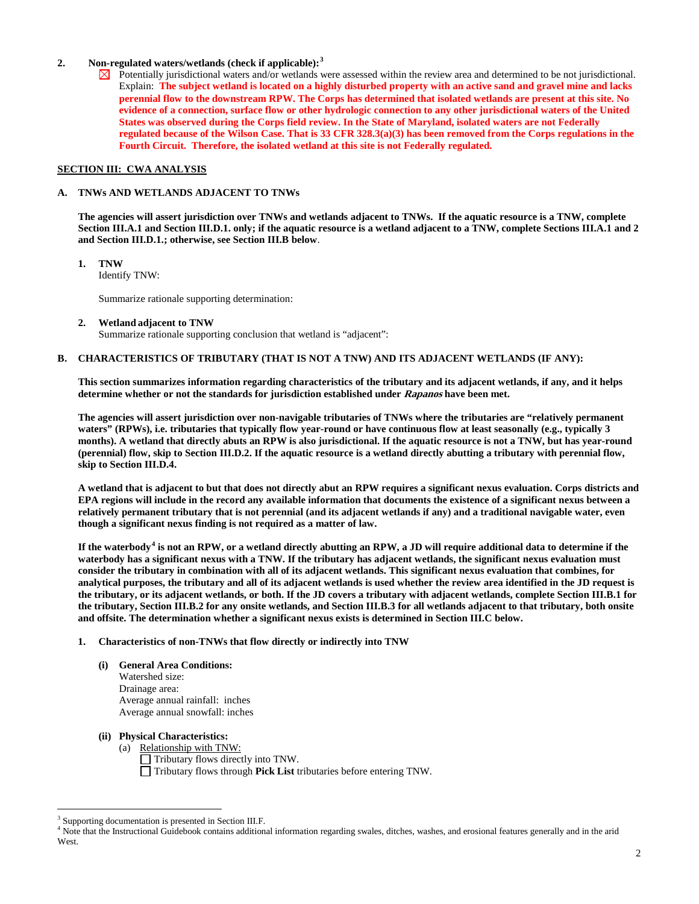# **2. Non-regulated waters/wetlands (check if applicable): [3](#page-1-0)**

Potentially jurisdictional waters and/or wetlands were assessed within the review area and determined to be not jurisdictional. Explain: **The subject wetland is located on a highly disturbed property with an active sand and gravel mine and lacks perennial flow to the downstream RPW. The Corps has determined that isolated wetlands are present at this site. No evidence of a connection, surface flow or other hydrologic connection to any other jurisdictional waters of the United States was observed during the Corps field review. In the State of Maryland, isolated waters are not Federally regulated because of the Wilson Case. That is 33 CFR 328.3(a)(3) has been removed from the Corps regulations in the Fourth Circuit. Therefore, the isolated wetland at this site is not Federally regulated.**

# **SECTION III: CWA ANALYSIS**

## **A. TNWs AND WETLANDS ADJACENT TO TNWs**

**The agencies will assert jurisdiction over TNWs and wetlands adjacent to TNWs. If the aquatic resource is a TNW, complete Section III.A.1 and Section III.D.1. only; if the aquatic resource is a wetland adjacent to a TNW, complete Sections III.A.1 and 2 and Section III.D.1.; otherwise, see Section III.B below**.

# **1. TNW**

Identify TNW:

Summarize rationale supporting determination:

**2. Wetland adjacent to TNW** 

Summarize rationale supporting conclusion that wetland is "adjacent":

## **B. CHARACTERISTICS OF TRIBUTARY (THAT IS NOT A TNW) AND ITS ADJACENT WETLANDS (IF ANY):**

**This section summarizes information regarding characteristics of the tributary and its adjacent wetlands, if any, and it helps determine whether or not the standards for jurisdiction established under Rapanos have been met.** 

**The agencies will assert jurisdiction over non-navigable tributaries of TNWs where the tributaries are "relatively permanent waters" (RPWs), i.e. tributaries that typically flow year-round or have continuous flow at least seasonally (e.g., typically 3 months). A wetland that directly abuts an RPW is also jurisdictional. If the aquatic resource is not a TNW, but has year-round (perennial) flow, skip to Section III.D.2. If the aquatic resource is a wetland directly abutting a tributary with perennial flow, skip to Section III.D.4.** 

**A wetland that is adjacent to but that does not directly abut an RPW requires a significant nexus evaluation. Corps districts and EPA regions will include in the record any available information that documents the existence of a significant nexus between a relatively permanent tributary that is not perennial (and its adjacent wetlands if any) and a traditional navigable water, even though a significant nexus finding is not required as a matter of law.**

**If the waterbody[4](#page-1-1) is not an RPW, or a wetland directly abutting an RPW, a JD will require additional data to determine if the waterbody has a significant nexus with a TNW. If the tributary has adjacent wetlands, the significant nexus evaluation must consider the tributary in combination with all of its adjacent wetlands. This significant nexus evaluation that combines, for analytical purposes, the tributary and all of its adjacent wetlands is used whether the review area identified in the JD request is the tributary, or its adjacent wetlands, or both. If the JD covers a tributary with adjacent wetlands, complete Section III.B.1 for the tributary, Section III.B.2 for any onsite wetlands, and Section III.B.3 for all wetlands adjacent to that tributary, both onsite and offsite. The determination whether a significant nexus exists is determined in Section III.C below.**

# **1. Characteristics of non-TNWs that flow directly or indirectly into TNW**

**(i) General Area Conditions:** Watershed size: Drainage area: Average annual rainfall: inches

Average annual snowfall: inches

# **(ii) Physical Characteristics:**

(a) Relationship with TNW:

 $\Box$  Tributary flows directly into TNW.

Tributary flows through **Pick List** tributaries before entering TNW.

<span id="page-1-0"></span><sup>&</sup>lt;sup>3</sup> Supporting documentation is presented in Section III.F.

<span id="page-1-1"></span><sup>&</sup>lt;sup>4</sup> Note that the Instructional Guidebook contains additional information regarding swales, ditches, washes, and erosional features generally and in the arid West.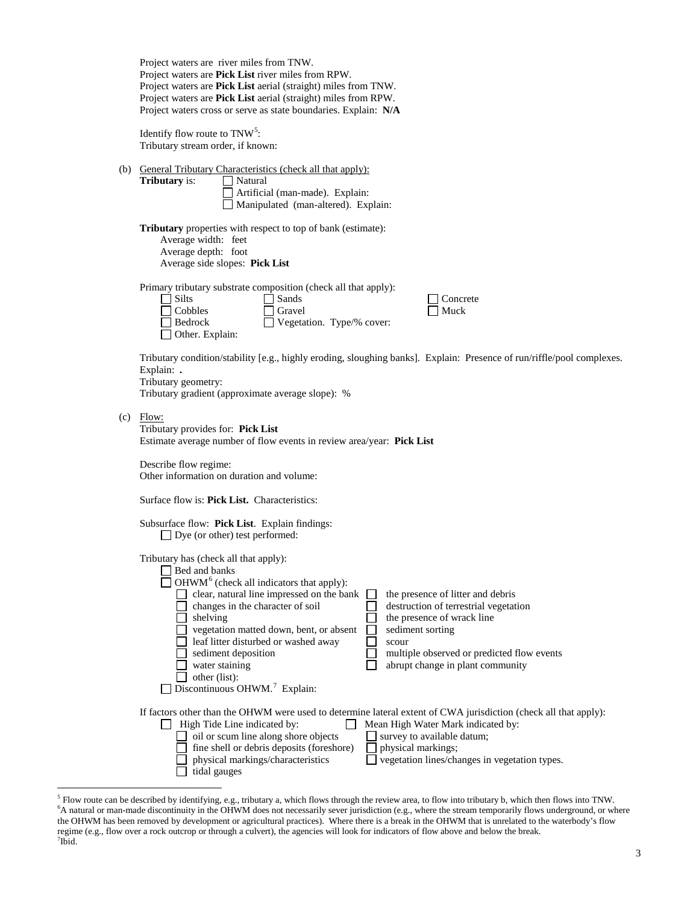| Project waters are river miles from TNW.<br>Project waters are Pick List river miles from RPW.<br>Project waters are Pick List aerial (straight) miles from TNW.<br>Project waters are Pick List aerial (straight) miles from RPW.<br>Project waters cross or serve as state boundaries. Explain: N/A                                                                                                                                                                                                                                                                                                                  |
|------------------------------------------------------------------------------------------------------------------------------------------------------------------------------------------------------------------------------------------------------------------------------------------------------------------------------------------------------------------------------------------------------------------------------------------------------------------------------------------------------------------------------------------------------------------------------------------------------------------------|
| Identify flow route to $TNW5$ :<br>Tributary stream order, if known:                                                                                                                                                                                                                                                                                                                                                                                                                                                                                                                                                   |
| (b) General Tributary Characteristics (check all that apply):<br><b>Tributary</b> is:<br>$\Box$ Natural<br>Artificial (man-made). Explain:<br>Manipulated (man-altered). Explain:                                                                                                                                                                                                                                                                                                                                                                                                                                      |
| <b>Tributary</b> properties with respect to top of bank (estimate):<br>Average width: feet<br>Average depth: foot<br>Average side slopes: Pick List                                                                                                                                                                                                                                                                                                                                                                                                                                                                    |
| Primary tributary substrate composition (check all that apply):<br>$\Box$ Silts<br>Sands<br>Concrete<br>Cobbles<br>Muck<br>Gravel<br>Vegetation. Type/% cover:<br>Bedrock<br>Other. Explain:                                                                                                                                                                                                                                                                                                                                                                                                                           |
| Tributary condition/stability [e.g., highly eroding, sloughing banks]. Explain: Presence of run/riffle/pool complexes.<br>Explain: .<br>Tributary geometry:<br>Tributary gradient (approximate average slope): %                                                                                                                                                                                                                                                                                                                                                                                                       |
| $(c)$ Flow:<br>Tributary provides for: Pick List<br>Estimate average number of flow events in review area/year: Pick List                                                                                                                                                                                                                                                                                                                                                                                                                                                                                              |
| Describe flow regime:<br>Other information on duration and volume:                                                                                                                                                                                                                                                                                                                                                                                                                                                                                                                                                     |
| Surface flow is: Pick List. Characteristics:                                                                                                                                                                                                                                                                                                                                                                                                                                                                                                                                                                           |
| Subsurface flow: Pick List. Explain findings:<br>$\Box$ Dye (or other) test performed:                                                                                                                                                                                                                                                                                                                                                                                                                                                                                                                                 |
| Tributary has (check all that apply):<br>Bed and banks<br>$OHWM6$ (check all indicators that apply):<br>clear, natural line impressed on the bank<br>the presence of litter and debris<br>changes in the character of soil<br>destruction of terrestrial vegetation<br>the presence of wrack line<br>shelving<br>vegetation matted down, bent, or absent<br>sediment sorting<br>leaf litter disturbed or washed away<br>scour<br>multiple observed or predicted flow events<br>sediment deposition<br>abrupt change in plant community<br>water staining<br>other (list):<br>Discontinuous OHWM. <sup>7</sup> Explain: |
| If factors other than the OHWM were used to determine lateral extent of CWA jurisdiction (check all that apply):<br>Mean High Water Mark indicated by:<br>High Tide Line indicated by:<br>$\Box$<br>$\Box$<br>oil or scum line along shore objects<br>survey to available datum;<br>fine shell or debris deposits (foreshore)<br>physical markings;<br>physical markings/characteristics<br>vegetation lines/changes in vegetation types.<br>tidal gauges                                                                                                                                                              |

<span id="page-2-2"></span><span id="page-2-1"></span><span id="page-2-0"></span><sup>&</sup>lt;sup>5</sup> Flow route can be described by identifying, e.g., tributary a, which flows through the review area, to flow into tributary b, which then flows into TNW.<br><sup>6</sup>A natural or man-made discontinuity in the OHWM does not neces the OHWM has been removed by development or agricultural practices). Where there is a break in the OHWM that is unrelated to the waterbody's flow regime (e.g., flow over a rock outcrop or through a culvert), the agencies will look for indicators of flow above and below the break. <sup>7</sup>  $7$ Ibid.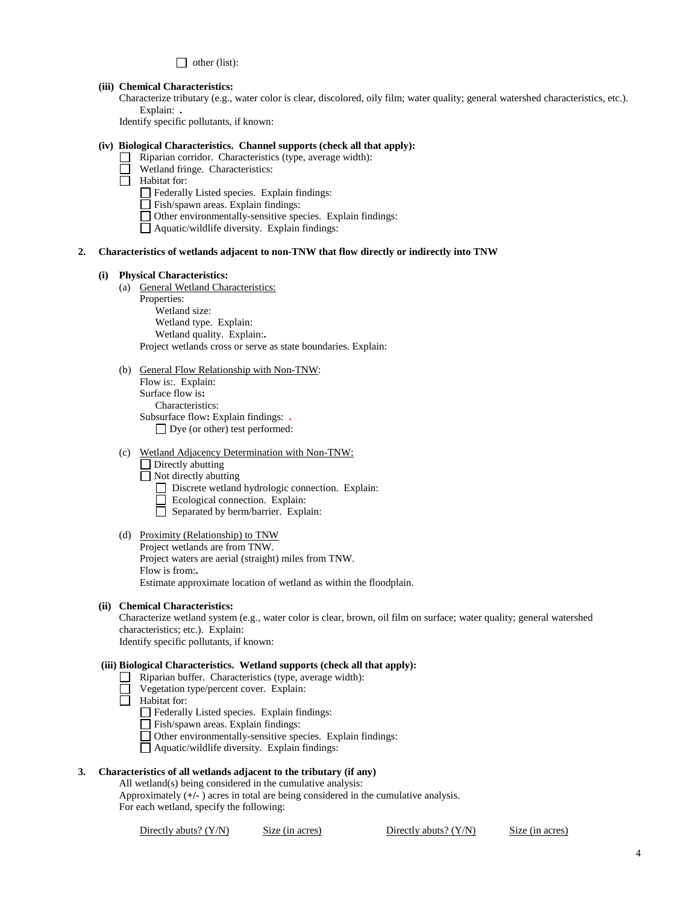$\Box$  other (list):

#### **(iii) Chemical Characteristics:**

Characterize tributary (e.g., water color is clear, discolored, oily film; water quality; general watershed characteristics, etc.). Explain: **.** 

Identify specific pollutants, if known:

#### **(iv) Biological Characteristics. Channel supports (check all that apply):**

- Riparian corridor. Characteristics (type, average width):
- Wetland fringe. Characteristics:
- $\overline{\Box}$  Habitat for:
	- Federally Listed species. Explain findings:
	- Fish/spawn areas. Explain findings:
	- Other environmentally-sensitive species. Explain findings:
	- Aquatic/wildlife diversity. Explain findings:

## **2. Characteristics of wetlands adjacent to non-TNW that flow directly or indirectly into TNW**

#### **(i) Physical Characteristics:**

- (a) General Wetland Characteristics:
	- Properties: Wetland size: Wetland type. Explain: Wetland quality. Explain:**.**  Project wetlands cross or serve as state boundaries. Explain:
- (b) General Flow Relationship with Non-TNW:
	- Flow is:. Explain: Surface flow is**:** Characteristics: Subsurface flow**:** Explain findings: **.** Dye (or other) test performed:

# (c) Wetland Adjacency Determination with Non-TNW:

- $\Box$  Directly abutting
- $\Box$  Not directly abutting
	- Discrete wetland hydrologic connection. Explain:
	- Ecological connection. Explain:
	- Separated by berm/barrier. Explain:
- (d) Proximity (Relationship) to TNW Project wetlands are from TNW. Project waters are aerial (straight) miles from TNW. Flow is from:**.** Estimate approximate location of wetland as within the floodplain.

#### **(ii) Chemical Characteristics:**

Characterize wetland system (e.g., water color is clear, brown, oil film on surface; water quality; general watershed characteristics; etc.). Explain: Identify specific pollutants, if known:

# **(iii) Biological Characteristics. Wetland supports (check all that apply):**

- Riparian buffer. Characteristics (type, average width):
- Vegetation type/percent cover. Explain:
- $\Box$  Habitat for:
- - Federally Listed species. Explain findings:
	- Fish/spawn areas. Explain findings:
	- Other environmentally-sensitive species. Explain findings:
	- Aquatic/wildlife diversity. Explain findings:

# **3. Characteristics of all wetlands adjacent to the tributary (if any)**

All wetland(s) being considered in the cumulative analysis: Approximately (**+/-** ) acres in total are being considered in the cumulative analysis. For each wetland, specify the following:

Directly abuts? (Y/N) Size (in acres) Directly abuts? (Y/N) Size (in acres)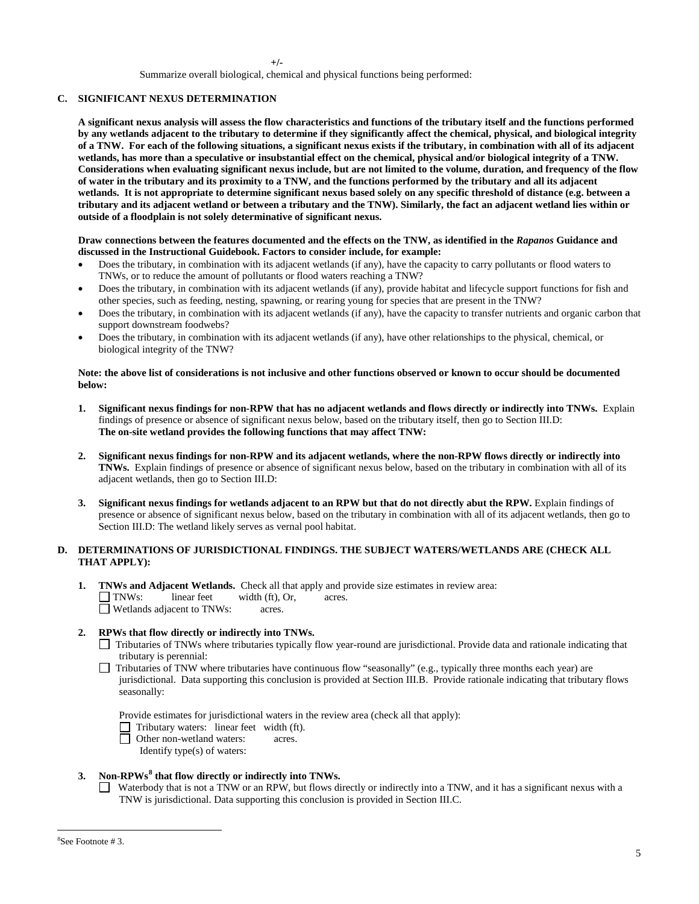**+/-**

Summarize overall biological, chemical and physical functions being performed:

# **C. SIGNIFICANT NEXUS DETERMINATION**

**A significant nexus analysis will assess the flow characteristics and functions of the tributary itself and the functions performed by any wetlands adjacent to the tributary to determine if they significantly affect the chemical, physical, and biological integrity of a TNW. For each of the following situations, a significant nexus exists if the tributary, in combination with all of its adjacent wetlands, has more than a speculative or insubstantial effect on the chemical, physical and/or biological integrity of a TNW. Considerations when evaluating significant nexus include, but are not limited to the volume, duration, and frequency of the flow of water in the tributary and its proximity to a TNW, and the functions performed by the tributary and all its adjacent wetlands. It is not appropriate to determine significant nexus based solely on any specific threshold of distance (e.g. between a tributary and its adjacent wetland or between a tributary and the TNW). Similarly, the fact an adjacent wetland lies within or outside of a floodplain is not solely determinative of significant nexus.** 

#### **Draw connections between the features documented and the effects on the TNW, as identified in the** *Rapanos* **Guidance and discussed in the Instructional Guidebook. Factors to consider include, for example:**

- Does the tributary, in combination with its adjacent wetlands (if any), have the capacity to carry pollutants or flood waters to TNWs, or to reduce the amount of pollutants or flood waters reaching a TNW?
- Does the tributary, in combination with its adjacent wetlands (if any), provide habitat and lifecycle support functions for fish and other species, such as feeding, nesting, spawning, or rearing young for species that are present in the TNW?
- Does the tributary, in combination with its adjacent wetlands (if any), have the capacity to transfer nutrients and organic carbon that support downstream foodwebs?
- Does the tributary, in combination with its adjacent wetlands (if any), have other relationships to the physical, chemical, or biological integrity of the TNW?

#### **Note: the above list of considerations is not inclusive and other functions observed or known to occur should be documented below:**

- **1. Significant nexus findings for non-RPW that has no adjacent wetlands and flows directly or indirectly into TNWs.** Explain findings of presence or absence of significant nexus below, based on the tributary itself, then go to Section III.D: **The on-site wetland provides the following functions that may affect TNW:**
- **2. Significant nexus findings for non-RPW and its adjacent wetlands, where the non-RPW flows directly or indirectly into TNWs.** Explain findings of presence or absence of significant nexus below, based on the tributary in combination with all of its adjacent wetlands, then go to Section III.D:
- **3. Significant nexus findings for wetlands adjacent to an RPW but that do not directly abut the RPW.** Explain findings of presence or absence of significant nexus below, based on the tributary in combination with all of its adjacent wetlands, then go to Section III.D: The wetland likely serves as vernal pool habitat.

## **D. DETERMINATIONS OF JURISDICTIONAL FINDINGS. THE SUBJECT WATERS/WETLANDS ARE (CHECK ALL THAT APPLY):**

**1. TNWs and Adjacent Wetlands.** Check all that apply and provide size estimates in review area:  $\Box$  TNWs: linear feet width (ft), Or, acres. □ Wetlands adjacent to TNWs: acres.

# **2. RPWs that flow directly or indirectly into TNWs.**

- Tributaries of TNWs where tributaries typically flow year-round are jurisdictional. Provide data and rationale indicating that tributary is perennial:
- $\Box$  Tributaries of TNW where tributaries have continuous flow "seasonally" (e.g., typically three months each year) are jurisdictional. Data supporting this conclusion is provided at Section III.B. Provide rationale indicating that tributary flows seasonally:

Provide estimates for jurisdictional waters in the review area (check all that apply):

- Tributary waters: linear feet width (ft).
- □ Other non-wetland waters: acres.
	- Identify type(s) of waters:

# **3. Non-RPWs[8](#page-4-0) that flow directly or indirectly into TNWs.**

Waterbody that is not a TNW or an RPW, but flows directly or indirectly into a TNW, and it has a significant nexus with a TNW is jurisdictional. Data supporting this conclusion is provided in Section III.C.

<span id="page-4-0"></span> <sup>8</sup> See Footnote # 3.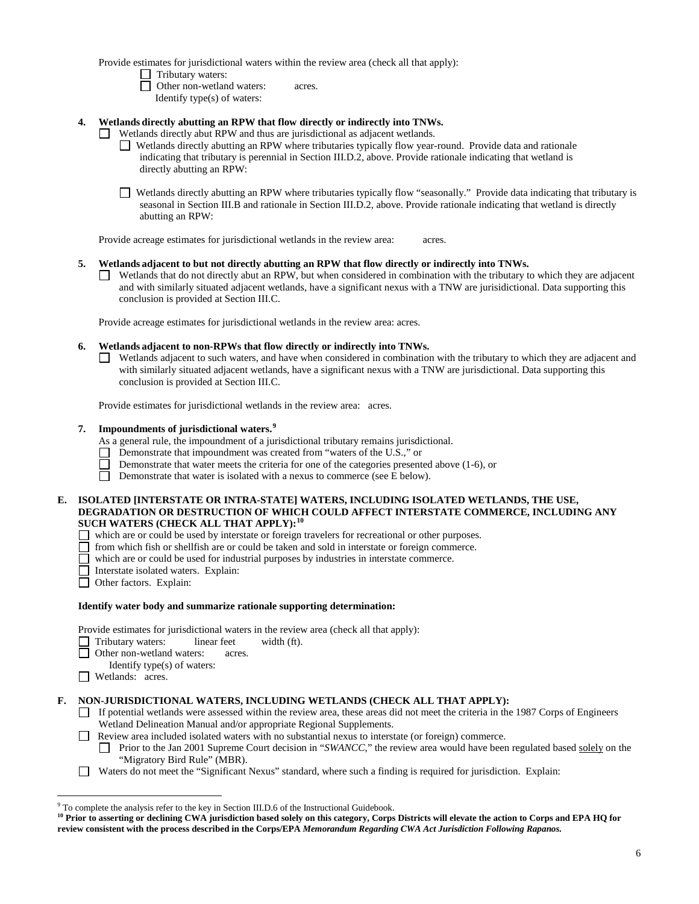Provide estimates for jurisdictional waters within the review area (check all that apply):

- **Tributary waters:**
- □ Other non-wetland waters: acres.
	- Identify type(s) of waters:

# **4. Wetlands directly abutting an RPW that flow directly or indirectly into TNWs.**

Wetlands directly abut RPW and thus are jurisdictional as adjacent wetlands.

- Wetlands directly abutting an RPW where tributaries typically flow year-round. Provide data and rationale indicating that tributary is perennial in Section III.D.2, above. Provide rationale indicating that wetland is directly abutting an RPW:
- Wetlands directly abutting an RPW where tributaries typically flow "seasonally." Provide data indicating that tributary is seasonal in Section III.B and rationale in Section III.D.2, above. Provide rationale indicating that wetland is directly abutting an RPW:

Provide acreage estimates for jurisdictional wetlands in the review area: acres.

# **5. Wetlands adjacent to but not directly abutting an RPW that flow directly or indirectly into TNWs.**

Wetlands that do not directly abut an RPW, but when considered in combination with the tributary to which they are adjacent and with similarly situated adjacent wetlands, have a significant nexus with a TNW are jurisidictional. Data supporting this conclusion is provided at Section III.C.

Provide acreage estimates for jurisdictional wetlands in the review area: acres.

- **6. Wetlands adjacent to non-RPWs that flow directly or indirectly into TNWs.** 
	- Wetlands adjacent to such waters, and have when considered in combination with the tributary to which they are adjacent and with similarly situated adjacent wetlands, have a significant nexus with a TNW are jurisdictional. Data supporting this conclusion is provided at Section III.C.

Provide estimates for jurisdictional wetlands in the review area:acres.

# **7. Impoundments of jurisdictional waters. [9](#page-5-0)**

As a general rule, the impoundment of a jurisdictional tributary remains jurisdictional.

- Demonstrate that impoundment was created from "waters of the U.S.," or
- Demonstrate that water meets the criteria for one of the categories presented above (1-6), or
- $\Box$ Demonstrate that water is isolated with a nexus to commerce (see E below).

## **E. ISOLATED [INTERSTATE OR INTRA-STATE] WATERS, INCLUDING ISOLATED WETLANDS, THE USE, DEGRADATION OR DESTRUCTION OF WHICH COULD AFFECT INTERSTATE COMMERCE, INCLUDING ANY SUCH WATERS (CHECK ALL THAT APPLY):[10](#page-5-1)**

 $\Box$  which are or could be used by interstate or foreign travelers for recreational or other purposes.<br>  $\Box$  from which fish or shellfish are or could be taken and sold in interstate or foreign commerce.

- $\Box$  from which fish or shellfish are or could be taken and sold in interstate or foreign commerce.<br> $\Box$  which are or could be used for industrial purposes by industries in interstate commerce.
	- which are or could be used for industrial purposes by industries in interstate commerce.
	- Interstate isolated waters.Explain:
- Other factors.Explain:

# **Identify water body and summarize rationale supporting determination:**

Provide estimates for jurisdictional waters in the review area (check all that apply):

- Tributary waters: linear feet width (ft).
- **D** Other non-wetland waters: acres.
	- Identify type(s) of waters:
- **Wetlands:** acres.

# **F. NON-JURISDICTIONAL WATERS, INCLUDING WETLANDS (CHECK ALL THAT APPLY):**

- If potential wetlands were assessed within the review area, these areas did not meet the criteria in the 1987 Corps of Engineers Wetland Delineation Manual and/or appropriate Regional Supplements.
- Review area included isolated waters with no substantial nexus to interstate (or foreign) commerce. Prior to the Jan 2001 Supreme Court decision in "*SWANCC*," the review area would have been regulated based solely on the  $\Box$ "Migratory Bird Rule" (MBR).
- Waters do not meet the "Significant Nexus" standard, where such a finding is required for jurisdiction. Explain:

<span id="page-5-0"></span><sup>&</sup>lt;sup>9</sup> To complete the analysis refer to the key in Section III.D.6 of the Instructional Guidebook.

<span id="page-5-1"></span><sup>&</sup>lt;sup>10</sup> Prior to asserting or declining CWA jurisdiction based solely on this category, Corps Districts will elevate the action to Corps and EPA HQ for **review consistent with the process described in the Corps/EPA** *Memorandum Regarding CWA Act Jurisdiction Following Rapanos.*